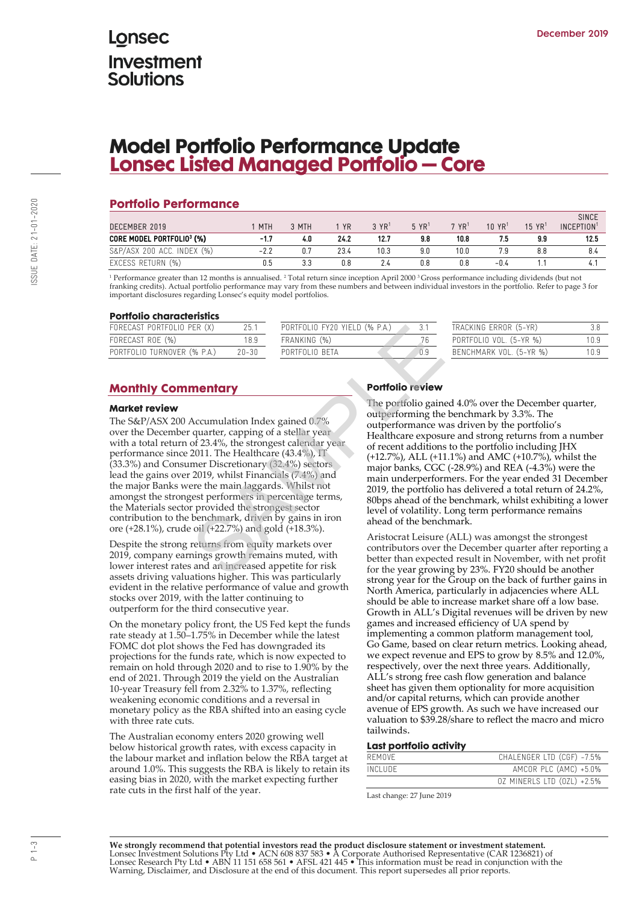# Lonsec **Investment** Solutions

# **Model Portfolio Performance Update Lonsec Listed Managed Portfolio – Core**

## **Portfolio Performance**

| DECEMBER 2019              | MTH    | 3 MTH | <b>YR</b> | 3 YR <sup>1</sup> | $5 \text{ YR}^1$ | 7 YR <sup>1</sup> | 10 YR <sup>1</sup> | $15 \text{ YR}$ <sup>1</sup> | <b>SINCE</b><br>INCEPTION <sup>1</sup> |
|----------------------------|--------|-------|-----------|-------------------|------------------|-------------------|--------------------|------------------------------|----------------------------------------|
| CORE MODEL PORTFOLIO3 (%)  | $-1.7$ | 4.0   | 24.2      | 12.7              | 9.8              | 10.8              |                    | 9.9                          | 12.5                                   |
| S&P/ASX 200 ACC. INDEX (%) | $-2.2$ | 0.7   | 23.4      | 10.3              | 9.0              | 10.0              | 7.9                | 8.8                          | 8.4                                    |
| EXCESS RETURN (%)          | 0.5    | 3.3   | 0.8       | 2.4               | 0.8              | 0.8               | $-0.4$             |                              |                                        |

<sup>1</sup> Performance greater than 12 months is annualised. <sup>2</sup> Total return since inception April 2000 <sup>3</sup>Gross performance including dividends (but not franking credits). Actual portfolio performance may vary from these numbers and between individual investors in the portfolio. Refer to page 3 for important disclosures regarding Lonsec's equity model portfolios.

#### **Portfolio characteristics**

| FORECAST PORTFOLIO PER (X)  |       | PORTFOLIO FY20 YIELD (% P.A.) | TRACKING ERROR (5-YR)   |       |
|-----------------------------|-------|-------------------------------|-------------------------|-------|
| FORECAST ROE (%)            | 18.9  | FRANKING (%)                  | PORTFOLIO VOL. (5-YR %) | 1 N Q |
| PORTFOLIO TURNOVER (% P.A.) | 20-30 | PORTEOLIO BETA                | BENCHMARK VOL. (5-YR %) | 1 N O |
|                             |       |                               |                         |       |

### **Monthly Commentary**

#### **Market review**

The S&P/ASX 200 Accumulation Index gained 0.7% over the December quarter, capping of a stellar year with a total return of 23.4%, the strongest calendar year performance since 2011. The Healthcare (43.4%), IT (33.3%) and Consumer Discretionary (32.4%) sectors lead the gains over 2019, whilst Financials (7.4%) and the major Banks were the main laggards. Whilst not amongst the strongest performers in percentage terms, the Materials sector provided the strongest sector contribution to the benchmark, driven by gains in iron ore (+28.1%), crude oil (+22.7%) and gold (+18.3%). **EROTA CONSUMPTION CONTROLLER**<br>
(% PA) 20-30<br>
TRANKING (%)<br>
TRANKING (%)<br>
TRANKING (%)<br>
TORITFOLIO BETA<br> **PORTFOLIO BETA**<br> **PORTFOLIO BETA**<br> **PORTFOLIO BETA**<br> **PORTFOLIO BETA**<br> **PORTFOLIO BETA**<br> **PORTFOLIO BETA**<br> **PORTFOL** 

Despite the strong returns from equity markets over 2019, company earnings growth remains muted, with lower interest rates and an increased appetite for risk assets driving valuations higher. This was particularly evident in the relative performance of value and growth stocks over 2019, with the latter continuing to outperform for the third consecutive year.

On the monetary policy front, the US Fed kept the funds rate steady at 1.50–1.75% in December while the latest FOMC dot plot shows the Fed has downgraded its projections for the funds rate, which is now expected to remain on hold through 2020 and to rise to 1.90% by the end of 2021. Through 2019 the yield on the Australian 10-year Treasury fell from 2.32% to 1.37%, reflecting weakening economic conditions and a reversal in monetary policy as the RBA shifted into an easing cycle with three rate cuts.

The Australian economy enters 2020 growing well below historical growth rates, with excess capacity in the labour market and inflation below the RBA target at around 1.0%. This suggests the RBA is likely to retain its easing bias in 2020, with the market expecting further rate cuts in the first half of the year.

### **Portfolio review**

The portfolio gained 4.0% over the December quarter, outperforming the benchmark by 3.3%. The outperformance was driven by the portfolio's Healthcare exposure and strong returns from a number of recent additions to the portfolio including JHX (+12.7%), ALL (+11.1%) and AMC (+10.7%), whilst the major banks, CGC (-28.9%) and REA (-4.3%) were the main underperformers. For the year ended 31 December 2019, the portfolio has delivered a total return of 24.2%, 80bps ahead of the benchmark, whilst exhibiting a lower level of volatility. Long term performance remains ahead of the benchmark.

Aristocrat Leisure (ALL) was amongst the strongest contributors over the December quarter after reporting a better than expected result in November, with net profit for the year growing by 23%. FY20 should be another strong year for the Group on the back of further gains in North America, particularly in adjacencies where ALL should be able to increase market share off a low base. Growth in ALL's Digital revenues will be driven by new games and increased efficiency of UA spend by implementing a common platform management tool, Go Game, based on clear return metrics. Looking ahead, we expect revenue and EPS to grow by 8.5% and 12.0%, respectively, over the next three years. Additionally, ALL's strong free cash flow generation and balance sheet has given them optionality for more acquisition and/or capital returns, which can provide another avenue of EPS growth. As such we have increased our valuation to \$39.28/share to reflect the macro and micro tailwinds.

#### **Last portfolio activity**

| REMOVE   | CHALENGER LTD (CGF) -7.5%  |
|----------|----------------------------|
| INCLUDE. | AMCOR PLC (AMC) +5.0%      |
|          | OZ MINERLS LTD (OZL) +2.5% |

Last change: 27 June 2019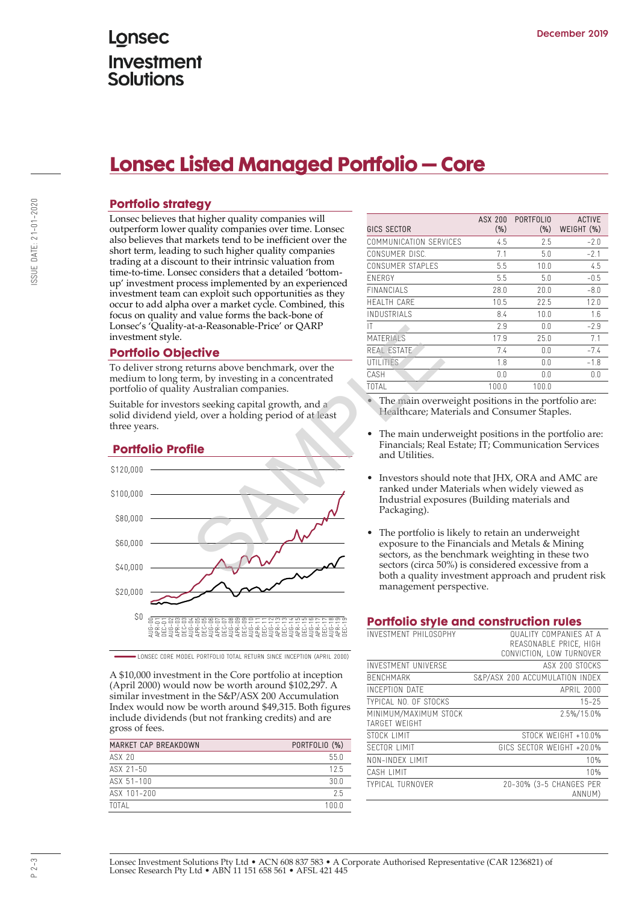# Lonsec **Investment Solutions**

# **Lonsec Listed Managed Portfolio – Core**

## **Portfolio strategy**

Lonsec believes that higher quality companies will outperform lower quality companies over time. Lonsec also believes that markets tend to be inefficient over the short term, leading to such higher quality companies trading at a discount to their intrinsic valuation from time-to-time. Lonsec considers that a detailed 'bottomup' investment process implemented by an experienced investment team can exploit such opportunities as they occur to add alpha over a market cycle. Combined, this focus on quality and value forms the back-bone of Lonsec's 'Quality-at-a-Reasonable-Price' or QARP investment style.

### **Portfolio Objective**

To deliver strong returns above benchmark, over the medium to long term, by investing in a concentrated portfolio of quality Australian companies.

Suitable for investors seeking capital growth, and a solid dividend yield, over a holding period of at least three years.

## **Portfolio Profile**



LONSEC CORE MODEL PORTFOLIO TOTAL RETURN SINCE INCEPTION (APRIL 2000)

A \$10,000 investment in the Core portfolio at inception (April 2000) would now be worth around \$102,297. A similar investment in the S&P/ASX 200 Accumulation Index would now be worth around \$49,315. Both figures include dividends (but not franking credits) and are gross of fees.

| MARKET CAP BREAKDOWN | PORTFOLIO (%) |  |  |  |
|----------------------|---------------|--|--|--|
| ASX 20               | 550           |  |  |  |
| ASX 21-50            | 125           |  |  |  |
| ASX 51-100           | 30.0          |  |  |  |
| ASX 101-200          | 25            |  |  |  |
| TOTAL                | 1 N N N       |  |  |  |

| GICS SECTOR            | ASX 200<br>$(\% )$ | <b>PORTFOLIO</b><br>(%) | <b>ACTIVE</b><br>WEIGHT (%) |
|------------------------|--------------------|-------------------------|-----------------------------|
| COMMUNICATION SFRVICES | 4.5                | 2.5                     | $-2.0$                      |
| CONSUMER DISC.         | 7.1                | 5.0                     | $-2.1$                      |
| CONSUMER STAPI ES      | 5.5                | 10.0                    | 4.5                         |
| <b>FNFRGY</b>          | 5.5                | 5.0                     | $-0.5$                      |
| <b>FINANCIALS</b>      | 28.0               | 20.0                    | $-8.0$                      |
| <b>HFAITH CARF</b>     | 10.5               | 22.5                    | 12.0                        |
| INDUSTRIAI S           | 8.4                | 10.0                    | 1.6                         |
| IT                     | 2.9                | 0.0                     | $-2.9$                      |
| <b>MATERIALS</b>       | 17.9               | 25.0                    | 7.1                         |
| REAL ESTATE            | 7.4                | 0.0                     | $-7.4$                      |
| UTILITIES              | 1.8                | 0.0                     | $-1.8$                      |
| CASH                   | 0.0                | 0.0                     | 0.0                         |
| TOTAL                  | 100.0              | 100.0                   |                             |
|                        |                    |                         |                             |

- The main overweight positions in the portfolio are: Healthcare; Materials and Consumer Staples.
- The main underweight positions in the portfolio are: Financials; Real Estate; IT; Communication Services and Utilities.
- Investors should note that JHX, ORA and AMC are ranked under Materials when widely viewed as Industrial exposures (Building materials and Packaging).
- The portfolio is likely to retain an underweight exposure to the Financials and Metals & Mining sectors, as the benchmark weighting in these two sectors (circa 50%) is considered excessive from a both a quality investment approach and prudent risk management perspective.

### **Portfolio style and construction rules**

| INVESTMENT PHILOSOPHY                  | <b>QUALITY COMPANIES AT A</b><br>REASONABLE PRICE, HIGH<br>CONVICTION, LOW TURNOVER |
|----------------------------------------|-------------------------------------------------------------------------------------|
| <b>INVESTMENT UNIVERSE</b>             | ASX 200 STOCKS                                                                      |
| <b>BFNCHMARK</b>                       | S&P/ASX 200 ACCUMULATION INDEX                                                      |
| <b>INCEPTION DATE</b>                  | APRII 2000                                                                          |
| <b>TYPICAL NO. OF STOCKS</b>           | $15 - 25$                                                                           |
| MINIMUM/MAXIMUM STOCK<br>TARGFT WFIGHT | 2.5%/15.0%                                                                          |
| STOCK I IMIT                           | STOCK WFIGHT +10.0%                                                                 |
| SECTOR I IMIT                          | GICS SECTOR WEIGHT +20.0%                                                           |
| NON-INDEX LIMIT                        | 10%                                                                                 |
| CASH LIMIT                             | 10%                                                                                 |
| <b>TYPICAL TURNOVER</b>                | 20-30% (3-5 CHANGES PER<br>ANNUM)                                                   |